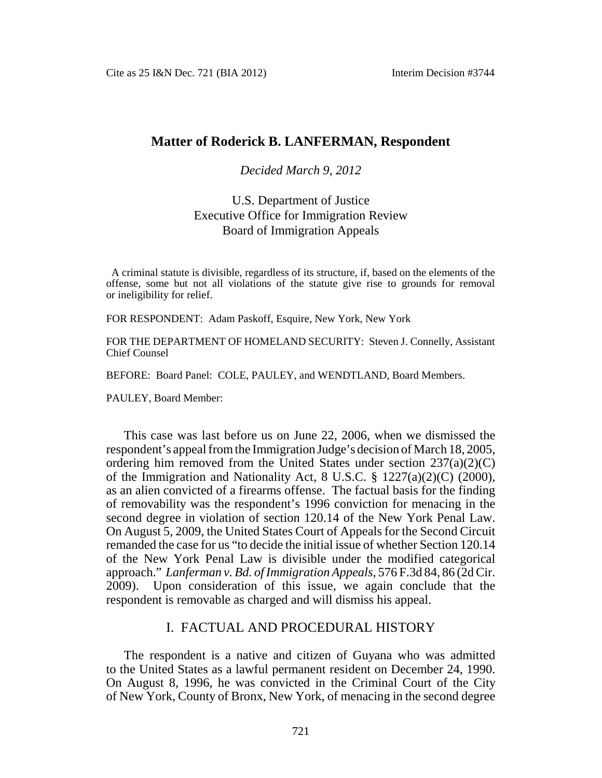# **Matter of Roderick B. LANFERMAN, Respondent**

#### *Decided March 9, 2012*

# U.S. Department of Justice Executive Office for Immigration Review Board of Immigration Appeals

A criminal statute is divisible, regardless of its structure, if, based on the elements of the offense, some but not all violations of the statute give rise to grounds for removal or ineligibility for relief.

FOR RESPONDENT: Adam Paskoff, Esquire, New York, New York

FOR THE DEPARTMENT OF HOMELAND SECURITY: Steven J. Connelly, Assistant Chief Counsel

BEFORE: Board Panel: COLE, PAULEY, and WENDTLAND, Board Members.

PAULEY, Board Member:

This case was last before us on June 22, 2006, when we dismissed the respondent's appeal from the Immigration Judge's decision of March 18, 2005, ordering him removed from the United States under section  $237(a)(2)(C)$ of the Immigration and Nationality Act, 8 U.S.C. § 1227(a)(2)(C) (2000), as an alien convicted of a firearms offense. The factual basis for the finding of removability was the respondent's 1996 conviction for menacing in the second degree in violation of section 120.14 of the New York Penal Law. On August 5, 2009, the United States Court of Appeals for the Second Circuit remanded the case for us "to decide the initial issue of whether Section 120.14 of the New York Penal Law is divisible under the modified categorical approach." *Lanferman v. Bd. of Immigration Appeals*, 576 F.3d 84, 86 (2d Cir. 2009). Upon consideration of this issue, we again conclude that the respondent is removable as charged and will dismiss his appeal.

# I. FACTUAL AND PROCEDURAL HISTORY

The respondent is a native and citizen of Guyana who was admitted to the United States as a lawful permanent resident on December 24, 1990. On August 8, 1996, he was convicted in the Criminal Court of the City of New York, County of Bronx, New York, of menacing in the second degree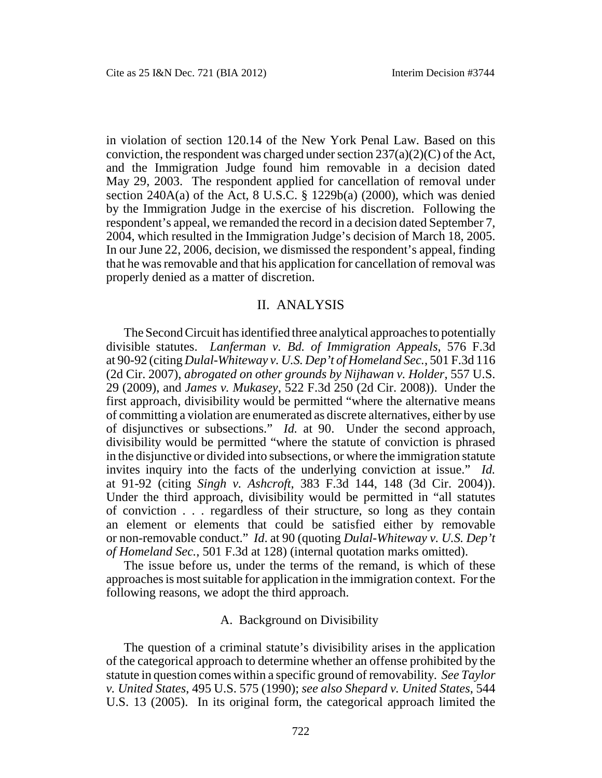in violation of section 120.14 of the New York Penal Law. Based on this conviction, the respondent was charged under section  $237(a)(2)(C)$  of the Act, and the Immigration Judge found him removable in a decision dated May 29, 2003. The respondent applied for cancellation of removal under section  $240A(a)$  of the Act, 8 U.S.C. § 1229b(a) (2000), which was denied by the Immigration Judge in the exercise of his discretion. Following the respondent's appeal, we remanded the record in a decision dated September 7, 2004, which resulted in the Immigration Judge's decision of March 18, 2005. In our June 22, 2006, decision, we dismissed the respondent's appeal, finding that he was removable and that his application for cancellation of removal was properly denied as a matter of discretion.

## II. ANALYSIS

The Second Circuit has identified three analytical approaches to potentially divisible statutes. *Lanferman v. Bd. of Immigration Appeals*, 576 F.3d at 90-92 (citing *Dulal-Whiteway v. U.S. Dep't of Homeland Sec.*, 501 F.3d 116 (2d Cir. 2007), *abrogated on other grounds by Nijhawan v. Holder*, 557 U.S. 29 (2009), and *James v. Mukasey*, 522 F.3d 250 (2d Cir. 2008)). Under the first approach, divisibility would be permitted "where the alternative means of committing a violation are enumerated as discrete alternatives, either by use of disjunctives or subsections." *Id.* at 90. Under the second approach, divisibility would be permitted "where the statute of conviction is phrased in the disjunctive or divided into subsections, or where the immigration statute invites inquiry into the facts of the underlying conviction at issue." *Id.* at 91-92 (citing *Singh v. Ashcroft*, 383 F.3d 144, 148 (3d Cir. 2004)). Under the third approach, divisibility would be permitted in "all statutes of conviction . . . regardless of their structure, so long as they contain an element or elements that could be satisfied either by removable or non-removable conduct." *Id*. at 90 (quoting *Dulal-Whiteway v. U.S. Dep't of Homeland Sec.*, 501 F.3d at 128) (internal quotation marks omitted).

The issue before us, under the terms of the remand, is which of these approaches is most suitable for application in the immigration context. For the following reasons, we adopt the third approach.

#### A. Background on Divisibility

The question of a criminal statute's divisibility arises in the application of the categorical approach to determine whether an offense prohibited by the statute in question comes within a specific ground of removability. *See Taylor v. United States*, 495 U.S. 575 (1990); *see also Shepard v. United States*, 544 U.S. 13 (2005). In its original form, the categorical approach limited the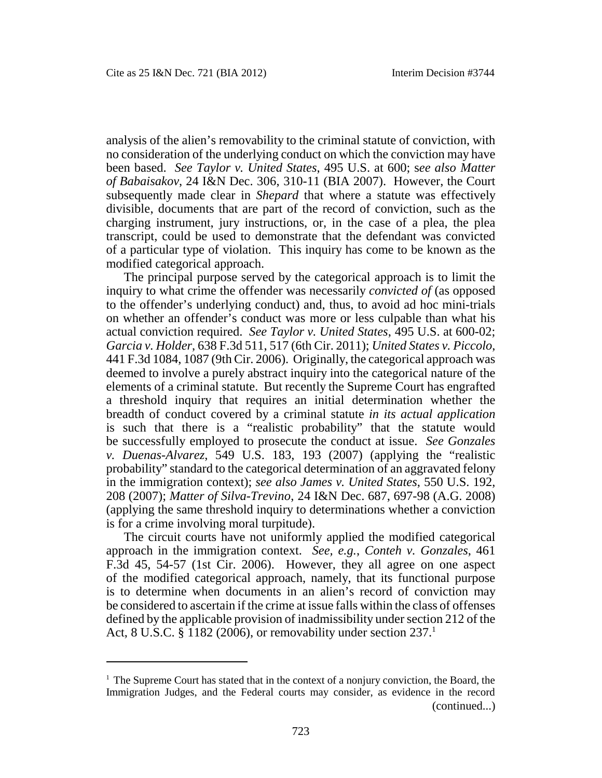analysis of the alien's removability to the criminal statute of conviction, with no consideration of the underlying conduct on which the conviction may have been based. *See Taylor v. United States*, 495 U.S. at 600; s*ee also Matter of Babaisakov*, 24 I&N Dec. 306, 310-11 (BIA 2007). However, the Court subsequently made clear in *Shepard* that where a statute was effectively divisible, documents that are part of the record of conviction, such as the charging instrument, jury instructions, or, in the case of a plea, the plea transcript, could be used to demonstrate that the defendant was convicted of a particular type of violation. This inquiry has come to be known as the modified categorical approach.

The principal purpose served by the categorical approach is to limit the inquiry to what crime the offender was necessarily *convicted of* (as opposed to the offender's underlying conduct) and, thus, to avoid ad hoc mini-trials on whether an offender's conduct was more or less culpable than what his actual conviction required. *See Taylor v. United States*, 495 U.S. at 600-02; *Garcia v. Holder*, 638 F.3d 511, 517 (6th Cir. 2011); *United States v. Piccolo*, 441 F.3d 1084, 1087 (9th Cir. 2006). Originally, the categorical approach was deemed to involve a purely abstract inquiry into the categorical nature of the elements of a criminal statute. But recently the Supreme Court has engrafted a threshold inquiry that requires an initial determination whether the breadth of conduct covered by a criminal statute *in its actual application* is such that there is a "realistic probability" that the statute would be successfully employed to prosecute the conduct at issue. *See Gonzales v. Duenas-Alvarez*, 549 U.S. 183, 193 (2007) (applying the "realistic probability" standard to the categorical determination of an aggravated felony in the immigration context); *see also James v. United States*, 550 U.S. 192, 208 (2007); *Matter of Silva-Trevino*, 24 I&N Dec. 687, 697-98 (A.G. 2008) (applying the same threshold inquiry to determinations whether a conviction is for a crime involving moral turpitude).

The circuit courts have not uniformly applied the modified categorical approach in the immigration context. *See, e.g.*, *Conteh v. Gonzales*, 461 F.3d 45, 54-57 (1st Cir. 2006). However, they all agree on one aspect of the modified categorical approach, namely, that its functional purpose is to determine when documents in an alien's record of conviction may be considered to ascertain if the crime at issue falls within the class of offenses defined by the applicable provision of inadmissibility under section 212 of the Act, 8 U.S.C. § 1182 (2006), or removability under section  $237<sup>1</sup>$ 

 $<sup>1</sup>$  The Supreme Court has stated that in the context of a nonjury conviction, the Board, the</sup> Immigration Judges, and the Federal courts may consider, as evidence in the record (continued...)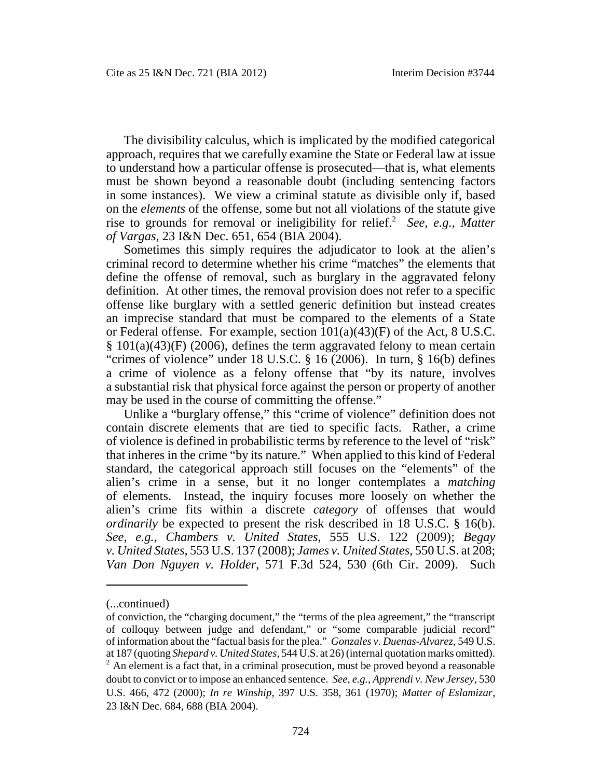The divisibility calculus, which is implicated by the modified categorical approach, requires that we carefully examine the State or Federal law at issue to understand how a particular offense is prosecuted—that is, what elements must be shown beyond a reasonable doubt (including sentencing factors in some instances). We view a criminal statute as divisible only if, based on the *elements* of the offense, some but not all violations of the statute give rise to grounds for removal or ineligibility for relief.<sup>2</sup> *See, e.g.*, *Matter of Vargas*, 23 I&N Dec. 651, 654 (BIA 2004).

Sometimes this simply requires the adjudicator to look at the alien's criminal record to determine whether his crime "matches" the elements that define the offense of removal, such as burglary in the aggravated felony definition. At other times, the removal provision does not refer to a specific offense like burglary with a settled generic definition but instead creates an imprecise standard that must be compared to the elements of a State or Federal offense. For example, section 101(a)(43)(F) of the Act, 8 U.S.C.  $§ 101(a)(43)$ (F) (2006), defines the term aggravated felony to mean certain "crimes of violence" under 18 U.S.C. § 16 (2006). In turn, § 16(b) defines a crime of violence as a felony offense that "by its nature, involves a substantial risk that physical force against the person or property of another may be used in the course of committing the offense."

Unlike a "burglary offense," this "crime of violence" definition does not contain discrete elements that are tied to specific facts. Rather, a crime of violence is defined in probabilistic terms by reference to the level of "risk" that inheres in the crime "by its nature." When applied to this kind of Federal standard, the categorical approach still focuses on the "elements" of the alien's crime in a sense, but it no longer contemplates a *matching* of elements. Instead, the inquiry focuses more loosely on whether the alien's crime fits within a discrete *category* of offenses that would *ordinarily* be expected to present the risk described in 18 U.S.C. § 16(b). *See, e.g.*, *Chambers v. United States*, 555 U.S. 122 (2009); *Begay v. United States*, 553 U.S. 137 (2008); *James v. United States*, 550 U.S. at 208; *Van Don Nguyen v. Holder*, 571 F.3d 524, 530 (6th Cir. 2009). Such

<sup>(...</sup>continued)

of conviction, the "charging document," the "terms of the plea agreement," the "transcript of colloquy between judge and defendant," or "some comparable judicial record" of information about the "factual basis for the plea." *Gonzales v. Duenas-Alvarez*, 549 U.S. at 187 (quoting *Shepard v. United States*, 544 U.S. at 26) (internal quotation marks omitted).

 $2^2$  An element is a fact that, in a criminal prosecution, must be proved beyond a reasonable doubt to convict or to impose an enhanced sentence. *See, e.g.*, *Apprendi v. New Jersey*, 530 U.S. 466, 472 (2000); *In re Winship*, 397 U.S. 358, 361 (1970); *Matter of Eslamizar*, 23 I&N Dec. 684, 688 (BIA 2004).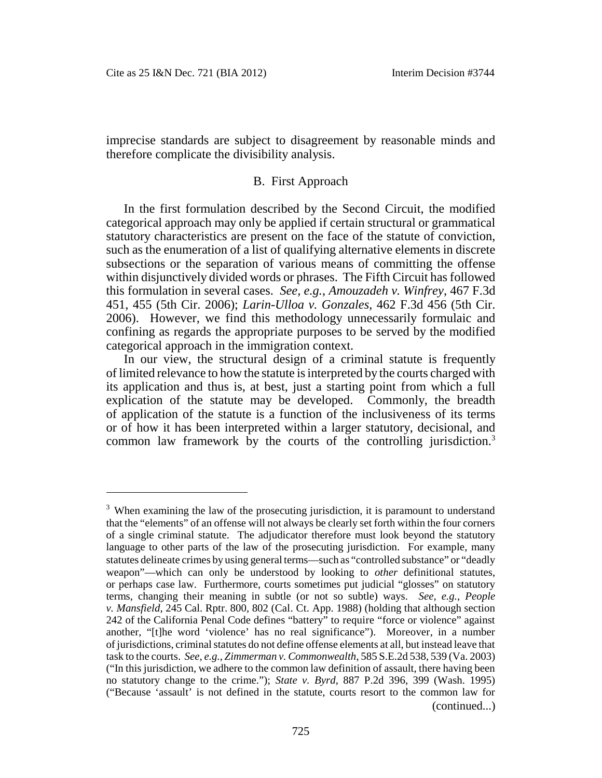imprecise standards are subject to disagreement by reasonable minds and therefore complicate the divisibility analysis.

#### B. First Approach

In the first formulation described by the Second Circuit, the modified categorical approach may only be applied if certain structural or grammatical statutory characteristics are present on the face of the statute of conviction, such as the enumeration of a list of qualifying alternative elements in discrete subsections or the separation of various means of committing the offense within disjunctively divided words or phrases. The Fifth Circuit has followed this formulation in several cases. *See, e.g.*, *Amouzadeh v. Winfrey*, 467 F.3d 451, 455 (5th Cir. 2006); *Larin-Ulloa v. Gonzales*, 462 F.3d 456 (5th Cir. 2006). However, we find this methodology unnecessarily formulaic and confining as regards the appropriate purposes to be served by the modified categorical approach in the immigration context.

In our view, the structural design of a criminal statute is frequently of limited relevance to how the statute is interpreted by the courts charged with its application and thus is, at best, just a starting point from which a full explication of the statute may be developed. Commonly, the breadth of application of the statute is a function of the inclusiveness of its terms or of how it has been interpreted within a larger statutory, decisional, and common law framework by the courts of the controlling jurisdiction.<sup>3</sup>

<sup>&</sup>lt;sup>3</sup> When examining the law of the prosecuting jurisdiction, it is paramount to understand that the "elements" of an offense will not always be clearly set forth within the four corners of a single criminal statute. The adjudicator therefore must look beyond the statutory language to other parts of the law of the prosecuting jurisdiction. For example, many statutes delineate crimes by using general terms—such as "controlled substance" or "deadly weapon"—which can only be understood by looking to *other* definitional statutes, or perhaps case law. Furthermore, courts sometimes put judicial "glosses" on statutory terms, changing their meaning in subtle (or not so subtle) ways. *See, e.g.*, *People v. Mansfield*, 245 Cal. Rptr. 800, 802 (Cal. Ct. App. 1988) (holding that although section 242 of the California Penal Code defines "battery" to require "force or violence" against another, "[t]he word 'violence' has no real significance"). Moreover, in a number of jurisdictions, criminal statutes do not define offense elements at all, but instead leave that task to the courts. *See, e.g.*, *Zimmerman v. Commonwealth*, 585 S.E.2d 538, 539 (Va. 2003) ("In this jurisdiction, we adhere to the common law definition of assault, there having been no statutory change to the crime."); *State v. Byrd*, 887 P.2d 396, 399 (Wash. 1995) ("Because 'assault' is not defined in the statute, courts resort to the common law for (continued...)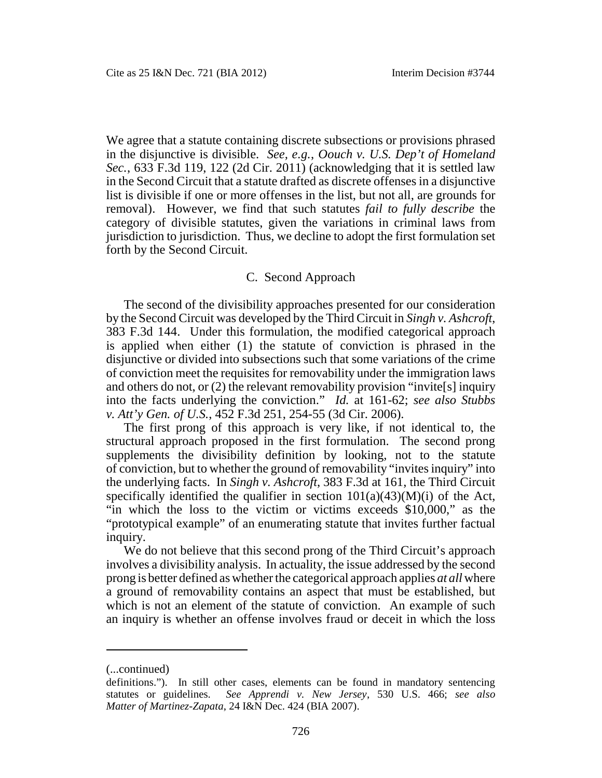We agree that a statute containing discrete subsections or provisions phrased in the disjunctive is divisible. *See, e.g.*, *Oouch v. U.S. Dep't of Homeland Sec.*, 633 F.3d 119, 122 (2d Cir. 2011) (acknowledging that it is settled law in the Second Circuit that a statute drafted as discrete offenses in a disjunctive list is divisible if one or more offenses in the list, but not all, are grounds for removal). However, we find that such statutes *fail to fully describe* the category of divisible statutes, given the variations in criminal laws from jurisdiction to jurisdiction. Thus, we decline to adopt the first formulation set forth by the Second Circuit.

#### C. Second Approach

The second of the divisibility approaches presented for our consideration by the Second Circuit was developed by the Third Circuit in *Singh v. Ashcroft*, 383 F.3d 144. Under this formulation, the modified categorical approach is applied when either (1) the statute of conviction is phrased in the disjunctive or divided into subsections such that some variations of the crime of conviction meet the requisites for removability under the immigration laws and others do not, or (2) the relevant removability provision "invite[s] inquiry into the facts underlying the conviction." *Id.* at 161-62; *see also Stubbs v. Att'y Gen. of U.S.*, 452 F.3d 251, 254-55 (3d Cir. 2006).

The first prong of this approach is very like, if not identical to, the structural approach proposed in the first formulation. The second prong supplements the divisibility definition by looking, not to the statute of conviction, but to whether the ground of removability "invites inquiry" into the underlying facts. In *Singh v. Ashcroft*, 383 F.3d at 161, the Third Circuit specifically identified the qualifier in section  $101(a)(43)(M)(i)$  of the Act, "in which the loss to the victim or victims exceeds \$10,000," as the "prototypical example" of an enumerating statute that invites further factual inquiry.

We do not believe that this second prong of the Third Circuit's approach involves a divisibility analysis. In actuality, the issue addressed by the second prong is better defined as whether the categorical approach applies *at all* where a ground of removability contains an aspect that must be established, but which is not an element of the statute of conviction. An example of such an inquiry is whether an offense involves fraud or deceit in which the loss

<sup>(...</sup>continued)

definitions."). In still other cases, elements can be found in mandatory sentencing statutes or guidelines. *See Apprendi v. New Jersey*, 530 U.S. 466; *see also Matter of Martinez-Zapata*, 24 I&N Dec. 424 (BIA 2007).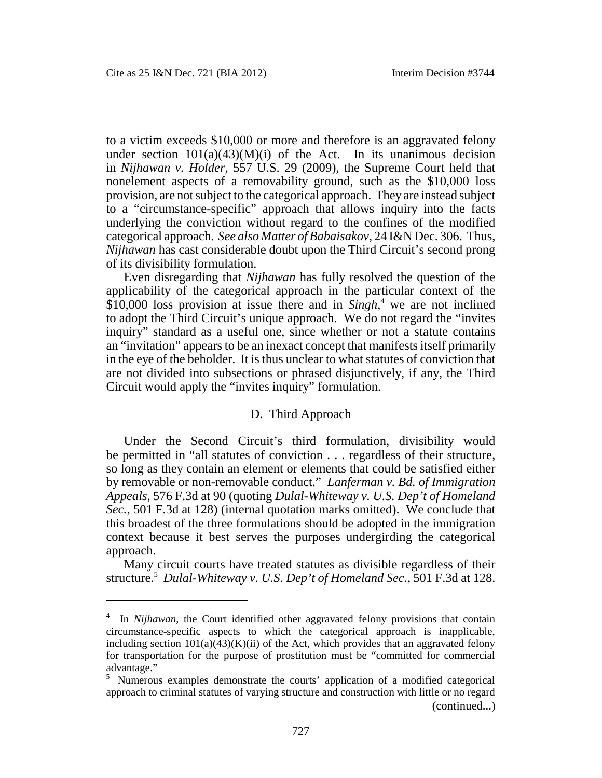to a victim exceeds \$10,000 or more and therefore is an aggravated felony under section  $101(a)(43)(M)(i)$  of the Act. In its unanimous decision in *Nijhawan v. Holder*, 557 U.S. 29 (2009), the Supreme Court held that nonelement aspects of a removability ground, such as the \$10,000 loss provision, are not subject to the categorical approach. They are instead subject to a "circumstance-specific" approach that allows inquiry into the facts underlying the conviction without regard to the confines of the modified categorical approach. *See also Matter of Babaisakov*, 24 I&N Dec. 306. Thus, *Nijhawan* has cast considerable doubt upon the Third Circuit's second prong of its divisibility formulation.

Even disregarding that *Nijhawan* has fully resolved the question of the applicability of the categorical approach in the particular context of the \$10,000 loss provision at issue there and in *Singh*, <sup>4</sup> we are not inclined to adopt the Third Circuit's unique approach. We do not regard the "invites inquiry" standard as a useful one, since whether or not a statute contains an "invitation" appears to be an inexact concept that manifests itself primarily in the eye of the beholder. It is thus unclear to what statutes of conviction that are not divided into subsections or phrased disjunctively, if any, the Third Circuit would apply the "invites inquiry" formulation.

#### D. Third Approach

Under the Second Circuit's third formulation, divisibility would be permitted in "all statutes of conviction . . . regardless of their structure, so long as they contain an element or elements that could be satisfied either by removable or non-removable conduct." *Lanferman v. Bd. of Immigration Appeals*, 576 F.3d at 90 (quoting *Dulal-Whiteway v. U.S. Dep't of Homeland Sec.*, 501 F.3d at 128) (internal quotation marks omitted). We conclude that this broadest of the three formulations should be adopted in the immigration context because it best serves the purposes undergirding the categorical approach.

Many circuit courts have treated statutes as divisible regardless of their structure.<sup>5</sup> *Dulal-Whiteway v. U.S. Dep't of Homeland Sec.*, 501 F.3d at 128.

<sup>&</sup>lt;sup>4</sup> In *Nijhawan*, the Court identified other aggravated felony provisions that contain circumstance-specific aspects to which the categorical approach is inapplicable, including section  $101(a)(43)(K)(ii)$  of the Act, which provides that an aggravated felony for transportation for the purpose of prostitution must be "committed for commercial advantage."

<sup>&</sup>lt;sup>5</sup> Numerous examples demonstrate the courts' application of a modified categorical approach to criminal statutes of varying structure and construction with little or no regard (continued...)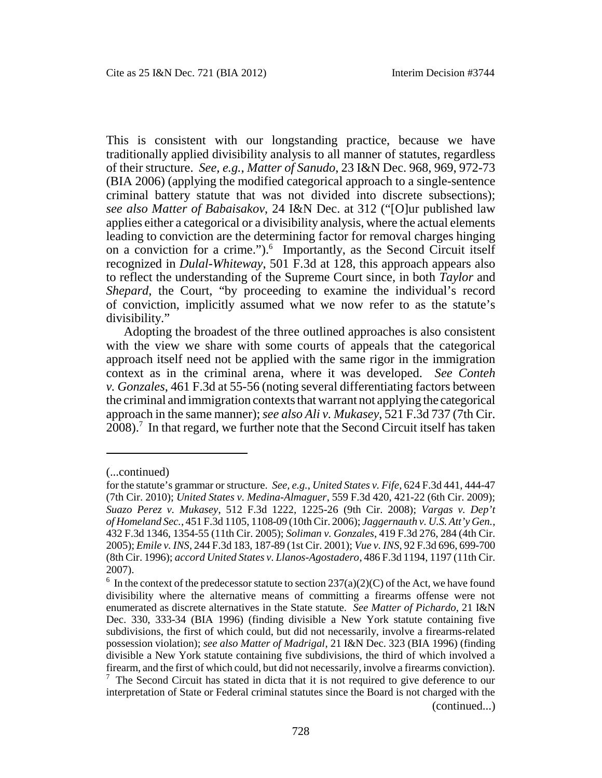This is consistent with our longstanding practice, because we have traditionally applied divisibility analysis to all manner of statutes, regardless of their structure. *See, e.g.*, *Matter of Sanudo*, 23 I&N Dec. 968, 969, 972-73 (BIA 2006) (applying the modified categorical approach to a single-sentence criminal battery statute that was not divided into discrete subsections); *see also Matter of Babaisakov*, 24 I&N Dec. at 312 ("[O]ur published law applies either a categorical or a divisibility analysis, where the actual elements leading to conviction are the determining factor for removal charges hinging on a conviction for a crime.").<sup>6</sup> Importantly, as the Second Circuit itself recognized in *Dulal-Whiteway*, 501 F.3d at 128, this approach appears also to reflect the understanding of the Supreme Court since, in both *Taylor* and *Shepard*, the Court, "by proceeding to examine the individual's record of conviction, implicitly assumed what we now refer to as the statute's divisibility."

Adopting the broadest of the three outlined approaches is also consistent with the view we share with some courts of appeals that the categorical approach itself need not be applied with the same rigor in the immigration context as in the criminal arena, where it was developed. *See Conteh v. Gonzales*, 461 F.3d at 55-56 (noting several differentiating factors between the criminal and immigration contexts that warrant not applying the categorical approach in the same manner); *see also Ali v. Mukasey*, 521 F.3d 737 (7th Cir.  $2008$ ).<sup>7</sup> In that regard, we further note that the Second Circuit itself has taken

<sup>(...</sup>continued)

for the statute's grammar or structure. *See, e.g.*, *United States v. Fife*, 624 F.3d 441, 444-47 (7th Cir. 2010); *United States v. Medina-Almaguer*, 559 F.3d 420, 421-22 (6th Cir. 2009); *Suazo Perez v. Mukasey*, 512 F.3d 1222, 1225-26 (9th Cir. 2008); *Vargas v. Dep't of Homeland Sec.*, 451 F.3d 1105, 1108-09 (10th Cir. 2006); *Jaggernauth v. U.S. Att'y Gen.*, 432 F.3d 1346, 1354-55 (11th Cir. 2005); *Soliman v. Gonzales*, 419 F.3d 276, 284 (4th Cir. 2005); *Emile v. INS*, 244 F.3d 183, 187-89 (1st Cir. 2001); *Vue v. INS*, 92 F.3d 696, 699-700 (8th Cir. 1996); *accord United States v. Llanos-Agostadero*, 486 F.3d 1194, 1197 (11th Cir. 2007).

<sup>&</sup>lt;sup>6</sup> In the context of the predecessor statute to section 237(a)(2)(C) of the Act, we have found divisibility where the alternative means of committing a firearms offense were not enumerated as discrete alternatives in the State statute. *See Matter of Pichardo*, 21 I&N Dec. 330, 333-34 (BIA 1996) (finding divisible a New York statute containing five subdivisions, the first of which could, but did not necessarily, involve a firearms-related possession violation); *see also Matter of Madrigal*, 21 I&N Dec. 323 (BIA 1996) (finding divisible a New York statute containing five subdivisions, the third of which involved a firearm, and the first of which could, but did not necessarily, involve a firearms conviction).

 $<sup>7</sup>$  The Second Circuit has stated in dicta that it is not required to give deference to our</sup> interpretation of State or Federal criminal statutes since the Board is not charged with the (continued...)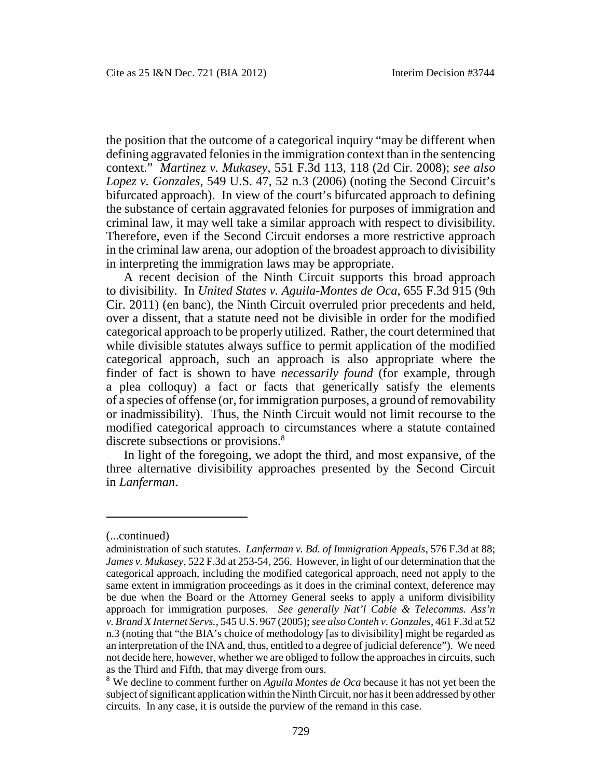the position that the outcome of a categorical inquiry "may be different when defining aggravated felonies in the immigration context than in the sentencing context." *Martinez v. Mukasey*, 551 F.3d 113, 118 (2d Cir. 2008); *see also Lopez v. Gonzales*, 549 U.S. 47, 52 n.3 (2006) (noting the Second Circuit's bifurcated approach). In view of the court's bifurcated approach to defining the substance of certain aggravated felonies for purposes of immigration and criminal law, it may well take a similar approach with respect to divisibility. Therefore, even if the Second Circuit endorses a more restrictive approach in the criminal law arena, our adoption of the broadest approach to divisibility in interpreting the immigration laws may be appropriate.

A recent decision of the Ninth Circuit supports this broad approach to divisibility. In *United States v. Aguila-Montes de Oca*, 655 F.3d 915 (9th Cir. 2011) (en banc), the Ninth Circuit overruled prior precedents and held, over a dissent, that a statute need not be divisible in order for the modified categorical approach to be properly utilized. Rather, the court determined that while divisible statutes always suffice to permit application of the modified categorical approach, such an approach is also appropriate where the finder of fact is shown to have *necessarily found* (for example, through a plea colloquy) a fact or facts that generically satisfy the elements of a species of offense (or, for immigration purposes, a ground of removability or inadmissibility). Thus, the Ninth Circuit would not limit recourse to the modified categorical approach to circumstances where a statute contained discrete subsections or provisions.<sup>8</sup>

In light of the foregoing, we adopt the third, and most expansive, of the three alternative divisibility approaches presented by the Second Circuit in *Lanferman*.

<sup>(...</sup>continued)

administration of such statutes. *Lanferman v. Bd. of Immigration Appeals*, 576 F.3d at 88; *James v. Mukasey*, 522 F.3d at 253-54, 256. However, in light of our determination that the categorical approach, including the modified categorical approach, need not apply to the same extent in immigration proceedings as it does in the criminal context, deference may be due when the Board or the Attorney General seeks to apply a uniform divisibility approach for immigration purposes. *See generally Nat'l Cable & Telecomms. Ass'n v. Brand X Internet Servs.*, 545 U.S. 967 (2005);*see also Conteh v. Gonzales*, 461 F.3d at 52 n.3 (noting that "the BIA's choice of methodology [as to divisibility] might be regarded as an interpretation of the INA and, thus, entitled to a degree of judicial deference"). We need not decide here, however, whether we are obliged to follow the approaches in circuits, such as the Third and Fifth, that may diverge from ours.

<sup>8</sup> We decline to comment further on *Aguila Montes de Oca* because it has not yet been the subject of significant application within the Ninth Circuit, nor has it been addressed by other circuits. In any case, it is outside the purview of the remand in this case.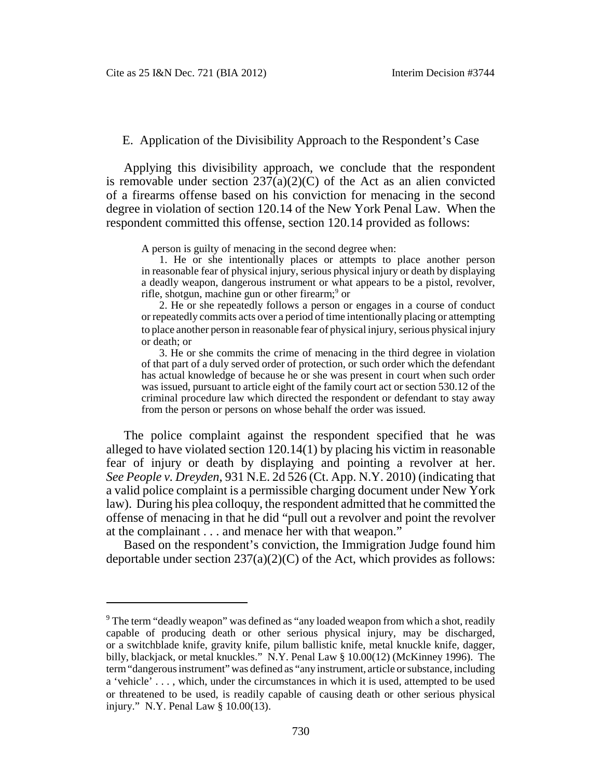## E. Application of the Divisibility Approach to the Respondent's Case

Applying this divisibility approach, we conclude that the respondent is removable under section  $237(a)(2)(C)$  of the Act as an alien convicted of a firearms offense based on his conviction for menacing in the second degree in violation of section 120.14 of the New York Penal Law. When the respondent committed this offense, section 120.14 provided as follows:

A person is guilty of menacing in the second degree when:

1. He or she intentionally places or attempts to place another person in reasonable fear of physical injury, serious physical injury or death by displaying a deadly weapon, dangerous instrument or what appears to be a pistol, revolver, rifle, shotgun, machine gun or other firearm;<sup>9</sup> or

2. He or she repeatedly follows a person or engages in a course of conduct or repeatedly commits acts over a period of time intentionally placing or attempting to place another person in reasonable fear of physical injury, serious physical injury or death; or

3. He or she commits the crime of menacing in the third degree in violation of that part of a duly served order of protection, or such order which the defendant has actual knowledge of because he or she was present in court when such order was issued, pursuant to article eight of the family court act or section 530.12 of the criminal procedure law which directed the respondent or defendant to stay away from the person or persons on whose behalf the order was issued.

The police complaint against the respondent specified that he was alleged to have violated section 120.14(1) by placing his victim in reasonable fear of injury or death by displaying and pointing a revolver at her. *See People v. Dreyden*, 931 N.E. 2d 526 (Ct. App. N.Y. 2010) (indicating that a valid police complaint is a permissible charging document under New York law). During his plea colloquy, the respondent admitted that he committed the offense of menacing in that he did "pull out a revolver and point the revolver at the complainant . . . and menace her with that weapon."

Based on the respondent's conviction, the Immigration Judge found him deportable under section  $237(a)(2)(C)$  of the Act, which provides as follows:

 $9$  The term "deadly weapon" was defined as "any loaded weapon from which a shot, readily capable of producing death or other serious physical injury, may be discharged, or a switchblade knife, gravity knife, pilum ballistic knife, metal knuckle knife, dagger, billy, blackjack, or metal knuckles." N.Y. Penal Law § 10.00(12) (McKinney 1996). The term "dangerous instrument" was defined as "any instrument, article or substance, including a 'vehicle' . . . , which, under the circumstances in which it is used, attempted to be used or threatened to be used, is readily capable of causing death or other serious physical injury." N.Y. Penal Law § 10.00(13).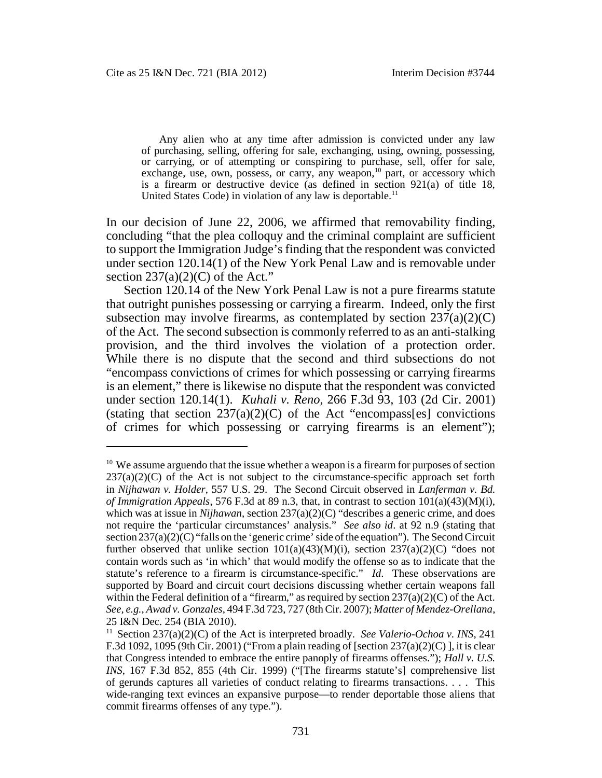Any alien who at any time after admission is convicted under any law of purchasing, selling, offering for sale, exchanging, using, owning, possessing, or carrying, or of attempting or conspiring to purchase, sell, offer for sale, exchange, use, own, possess, or carry, any weapon,<sup>10</sup> part, or accessory which is a firearm or destructive device (as defined in section 921(a) of title 18, United States Code) in violation of any law is deportable.<sup>11</sup>

In our decision of June 22, 2006, we affirmed that removability finding, concluding "that the plea colloquy and the criminal complaint are sufficient to support the Immigration Judge's finding that the respondent was convicted under section 120.14(1) of the New York Penal Law and is removable under section  $237(a)(2)(C)$  of the Act."

Section 120.14 of the New York Penal Law is not a pure firearms statute that outright punishes possessing or carrying a firearm. Indeed, only the first subsection may involve firearms, as contemplated by section  $237(a)(2)(C)$ of the Act. The second subsection is commonly referred to as an anti-stalking provision, and the third involves the violation of a protection order. While there is no dispute that the second and third subsections do not "encompass convictions of crimes for which possessing or carrying firearms is an element," there is likewise no dispute that the respondent was convicted under section 120.14(1). *Kuhali v. Reno*, 266 F.3d 93, 103 (2d Cir. 2001) (stating that section  $237(a)(2)(C)$  of the Act "encompass[es] convictions of crimes for which possessing or carrying firearms is an element");

 $10$  We assume arguendo that the issue whether a weapon is a firearm for purposes of section  $237(a)(2)(C)$  of the Act is not subject to the circumstance-specific approach set forth in *Nijhawan v. Holder*, 557 U.S. 29. The Second Circuit observed in *Lanferman v. Bd. of Immigration Appeals*, 576 F.3d at 89 n.3, that, in contrast to section 101(a)(43)(M)(i), which was at issue in *Nijhawan*, section 237(a)(2)(C) "describes a generic crime, and does not require the 'particular circumstances' analysis." *See also id*. at 92 n.9 (stating that section  $237(a)(2)(C)$  "falls on the 'generic crime' side of the equation"). The Second Circuit further observed that unlike section  $101(a)(43)(M)(i)$ , section  $237(a)(2)(C)$  "does not contain words such as 'in which' that would modify the offense so as to indicate that the statute's reference to a firearm is circumstance-specific." *Id*. These observations are supported by Board and circuit court decisions discussing whether certain weapons fall within the Federal definition of a "firearm," as required by section  $237(a)(2)(C)$  of the Act. *See, e.g.*, *Awad v. Gonzales*, 494 F.3d 723, 727 (8th Cir. 2007); *Matter of Mendez-Orellana*, 25 I&N Dec. 254 (BIA 2010).

<sup>&</sup>lt;sup>11</sup> Section 237(a)(2)(C) of the Act is interpreted broadly. *See Valerio-Ochoa v. INS*, 241 F.3d 1092, 1095 (9th Cir. 2001) ("From a plain reading of [section  $237(a)(2)(C)$ ], it is clear that Congress intended to embrace the entire panoply of firearms offenses."); *Hall v. U.S. INS*, 167 F.3d 852, 855 (4th Cir. 1999) ("[The firearms statute's] comprehensive list of gerunds captures all varieties of conduct relating to firearms transactions. . . . This wide-ranging text evinces an expansive purpose—to render deportable those aliens that commit firearms offenses of any type.").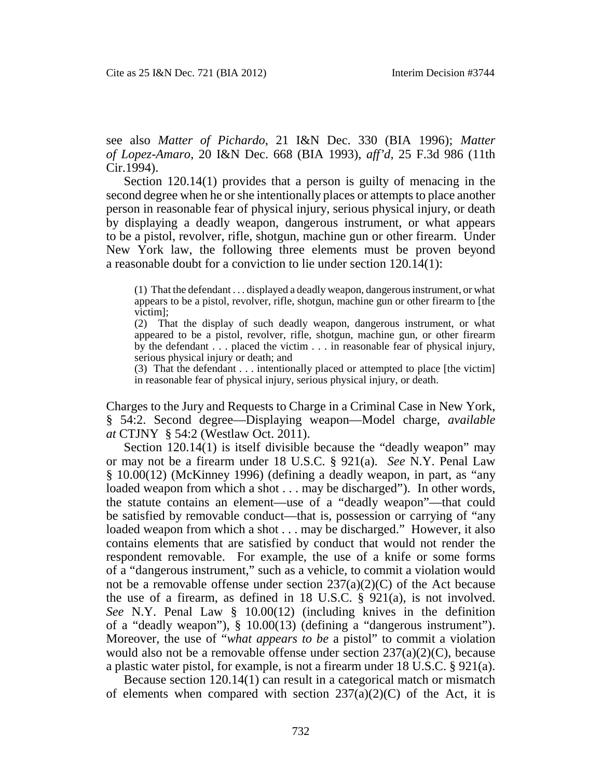see also *Matter of Pichardo*, 21 I&N Dec. 330 (BIA 1996); *Matter of Lopez-Amaro*, 20 I&N Dec. 668 (BIA 1993), *aff'd*, 25 F.3d 986 (11th Cir.1994).

Section 120.14(1) provides that a person is guilty of menacing in the second degree when he or she intentionally places or attempts to place another person in reasonable fear of physical injury, serious physical injury, or death by displaying a deadly weapon, dangerous instrument, or what appears to be a pistol, revolver, rifle, shotgun, machine gun or other firearm. Under New York law, the following three elements must be proven beyond a reasonable doubt for a conviction to lie under section 120.14(1):

(1) That the defendant . . . displayed a deadly weapon, dangerous instrument, or what appears to be a pistol, revolver, rifle, shotgun, machine gun or other firearm to [the victim];

(2) That the display of such deadly weapon, dangerous instrument, or what appeared to be a pistol, revolver, rifle, shotgun, machine gun, or other firearm by the defendant  $\ldots$  placed the victim  $\ldots$  in reasonable fear of physical injury, serious physical injury or death; and

(3) That the defendant . . . intentionally placed or attempted to place [the victim] in reasonable fear of physical injury, serious physical injury, or death.

Charges to the Jury and Requests to Charge in a Criminal Case in New York, § 54:2. Second degree—Displaying weapon—Model charge, *available at* CTJNY § 54:2 (Westlaw Oct. 2011).

Section 120.14(1) is itself divisible because the "deadly weapon" may or may not be a firearm under 18 U.S.C. § 921(a). *See* N.Y. Penal Law § 10.00(12) (McKinney 1996) (defining a deadly weapon, in part, as "any loaded weapon from which a shot . . . may be discharged"). In other words, the statute contains an element—use of a "deadly weapon"—that could be satisfied by removable conduct—that is, possession or carrying of "any loaded weapon from which a shot . . . may be discharged." However, it also contains elements that are satisfied by conduct that would not render the respondent removable. For example, the use of a knife or some forms of a "dangerous instrument," such as a vehicle, to commit a violation would not be a removable offense under section  $237(a)(2)(C)$  of the Act because the use of a firearm, as defined in 18 U.S.C. § 921(a), is not involved. *See* N.Y. Penal Law § 10.00(12) (including knives in the definition of a "deadly weapon"), § 10.00(13) (defining a "dangerous instrument"). Moreover, the use of "*what appears to be* a pistol" to commit a violation would also not be a removable offense under section 237(a)(2)(C), because a plastic water pistol, for example, is not a firearm under 18 U.S.C. § 921(a).

Because section 120.14(1) can result in a categorical match or mismatch of elements when compared with section  $237(a)(2)(C)$  of the Act, it is